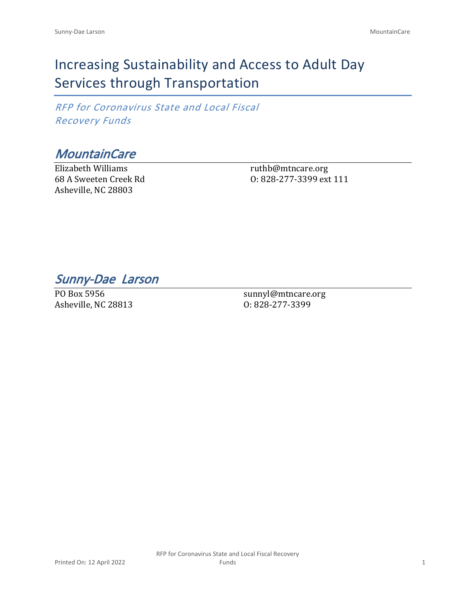# Increasing Sustainability and Access to Adult Day Services through Transportation

*RFP for Coronavirus State and Local Fiscal Recovery Funds*

# *MountainCare*

Elizabeth Williams 68 A Sweeten Creek Rd Asheville, NC 28803

ruthb@mtncare.org O: 828-277-3399 ext 111

*Sunny-Dae Larson* 

PO Box 5956 Asheville, NC 28813 sunnyl@mtncare.org O: 828-277-3399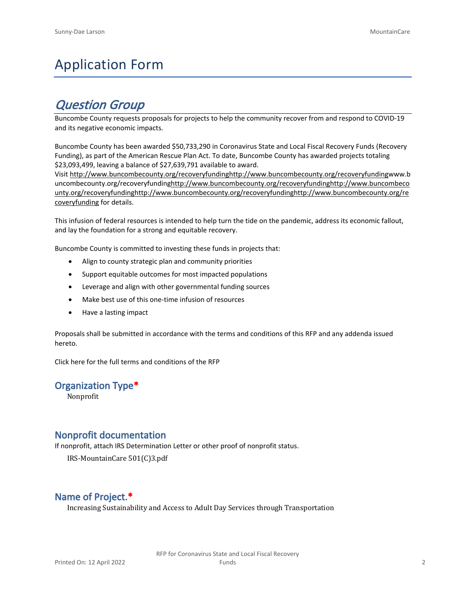# Application Form

# *Question Group*

Buncombe County requests proposals for projects to help the community recover from and respond to COVID-19 and its negative economic impacts.

Buncombe County has been awarded \$50,733,290 in Coronavirus State and Local Fiscal Recovery Funds (Recovery Funding), as part of the American Rescue Plan Act. To date, Buncombe County has awarded projects totaling \$23,093,499, leaving a balance of \$27,639,791 available to award.

Visit [http://www.buncombecounty.org/recoveryfundinghttp://www.buncombecounty.org/recoveryfundingwww.b](http://www.buncombecounty.org/recoveryfunding) [uncombecounty.org/recoveryfundinghttp://www.buncombecounty.org/recoveryfundinghttp://www.buncombeco](http://www.buncombecounty.org/recoveryfunding) [unty.org/recoveryfundinghttp://www.buncombecounty.org/recoveryfundinghttp://www.buncombecounty.org/re](http://www.buncombecounty.org/recoveryfunding) [coveryfunding](http://www.buncombecounty.org/recoveryfunding) for details.

This infusion of federal resources is intended to help turn the tide on the pandemic, address its economic fallout, and lay the foundation for a strong and equitable recovery.

Buncombe County is committed to investing these funds in projects that:

- Align to county strategic plan and community priorities
- Support equitable outcomes for most impacted populations
- Leverage and align with other governmental funding sources
- Make best use of this one-time infusion of resources
- Have a lasting impact

Proposals shall be submitted in accordance with the terms and conditions of this RFP and any addenda issued hereto.

Click [here](https://www.buncombecounty.org/common/purchasing/Buncombe%20Recovery%20Funding%20RFP%202022.pdf) for the full terms and conditions of the RFP

# **Organization Type\***

Nonprofit

# **Nonprofit documentation**

If nonprofit, attach IRS Determination Letter or other proof of nonprofit status.

IRS-MountainCare 501(C)3.pdf

# **Name of Project.\***

Increasing Sustainability and Access to Adult Day Services through Transportation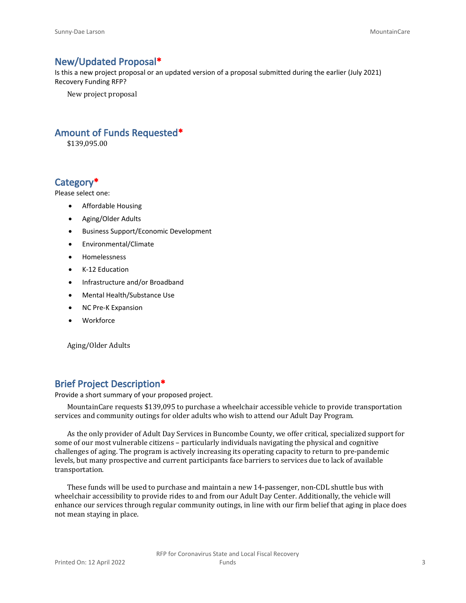# **New/Updated Proposal\***

Is this a new project proposal or an updated version of a proposal submitted during the earlier (July 2021) Recovery Funding RFP?

New project proposal

# **Amount of Funds Requested\***

\$139,095.00

# **Category\***

Please select one:

- Affordable Housing
- Aging/Older Adults
- Business Support/Economic Development
- Environmental/Climate
- Homelessness
- K-12 Education
- Infrastructure and/or Broadband
- Mental Health/Substance Use
- NC Pre-K Expansion
- Workforce

Aging/Older Adults

# **Brief Project Description\***

Provide a short summary of your proposed project.

MountainCare requests \$139,095 to purchase a wheelchair accessible vehicle to provide transportation services and community outings for older adults who wish to attend our Adult Day Program.

As the only provider of Adult Day Services in Buncombe County, we offer critical, specialized support for some of our most vulnerable citizens – particularly individuals navigating the physical and cognitive challenges of aging. The program is actively increasing its operating capacity to return to pre-pandemic levels, but many prospective and current participants face barriers to services due to lack of available transportation.

These funds will be used to purchase and maintain a new 14-passenger, non-CDL shuttle bus with wheelchair accessibility to provide rides to and from our Adult Day Center. Additionally, the vehicle will enhance our services through regular community outings, in line with our firm belief that aging in place does not mean staying in place.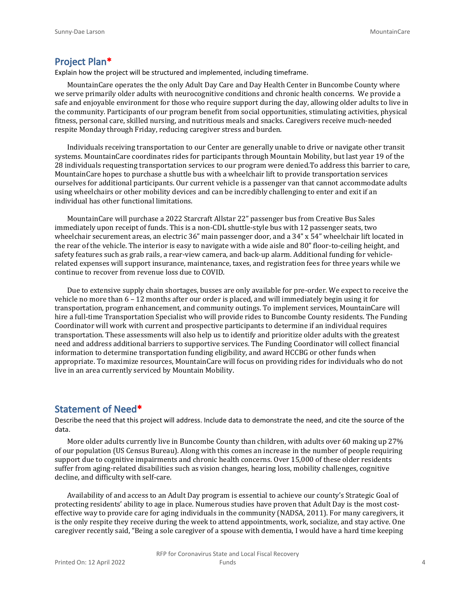## **Project Plan\***

Explain how the project will be structured and implemented, including timeframe.

MountainCare operates the the only Adult Day Care and Day Health Center in Buncombe County where we serve primarily older adults with neurocognitive conditions and chronic health concerns. We provide a safe and enjoyable environment for those who require support during the day, allowing older adults to live in the community. Participants of our program benefit from social opportunities, stimulating activities, physical fitness, personal care, skilled nursing, and nutritious meals and snacks. Caregivers receive much-needed respite Monday through Friday, reducing caregiver stress and burden.

Individuals receiving transportation to our Center are generally unable to drive or navigate other transit systems. MountainCare coordinates rides for participants through Mountain Mobility, but last year 19 of the 28 individuals requesting transportation services to our program were denied.To address this barrier to care, MountainCare hopes to purchase a shuttle bus with a wheelchair lift to provide transportation services ourselves for additional participants. Our current vehicle is a passenger van that cannot accommodate adults using wheelchairs or other mobility devices and can be incredibly challenging to enter and exit if an individual has other functional limitations.

MountainCare will purchase a 2022 Starcraft Allstar 22" passenger bus from Creative Bus Sales immediately upon receipt of funds. This is a non-CDL shuttle-style bus with 12 passenger seats, two wheelchair securement areas, an electric 36" main passenger door, and a 34" x 54" wheelchair lift located in the rear of the vehicle. The interior is easy to navigate with a wide aisle and 80" floor-to-ceiling height, and safety features such as grab rails, a rear-view camera, and back-up alarm. Additional funding for vehiclerelated expenses will support insurance, maintenance, taxes, and registration fees for three years while we continue to recover from revenue loss due to COVID.

Due to extensive supply chain shortages, busses are only available for pre-order. We expect to receive the vehicle no more than 6 – 12 months after our order is placed, and will immediately begin using it for transportation, program enhancement, and community outings. To implement services, MountainCare will hire a full-time Transportation Specialist who will provide rides to Buncombe County residents. The Funding Coordinator will work with current and prospective participants to determine if an individual requires transportation. These assessments will also help us to identify and prioritize older adults with the greatest need and address additional barriers to supportive services. The Funding Coordinator will collect financial information to determine transportation funding eligibility, and award HCCBG or other funds when appropriate. To maximize resources, MountainCare will focus on providing rides for individuals who do not live in an area currently serviced by Mountain Mobility.

# **Statement of Need\***

Describe the need that this project will address. Include data to demonstrate the need, and cite the source of the data.

More older adults currently live in Buncombe County than children, with adults over 60 making up 27% of our population (US Census Bureau). Along with this comes an increase in the number of people requiring support due to cognitive impairments and chronic health concerns. Over 15,000 of these older residents suffer from aging-related disabilities such as vision changes, hearing loss, mobility challenges, cognitive decline, and difficulty with self-care.

Availability of and access to an Adult Day program is essential to achieve our county's Strategic Goal of protecting residents' ability to age in place. Numerous studies have proven that Adult Day is the most costeffective way to provide care for aging individuals in the community (NADSA, 2011). For many caregivers, it is the only respite they receive during the week to attend appointments, work, socialize, and stay active. One caregiver recently said, "Being a sole caregiver of a spouse with dementia, I would have a hard time keeping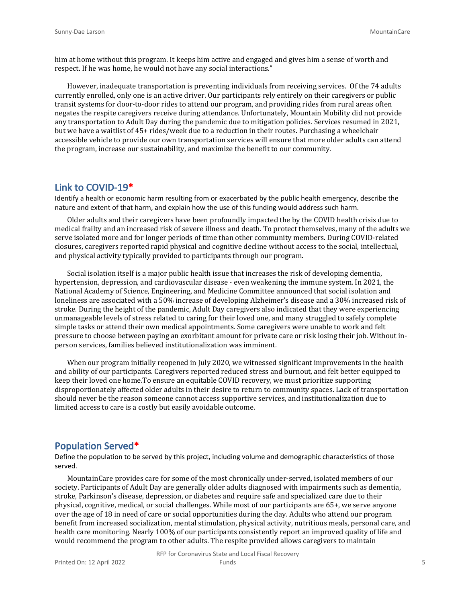him at home without this program. It keeps him active and engaged and gives him a sense of worth and respect. If he was home, he would not have any social interactions."

However, inadequate transportation is preventing individuals from receiving services. Of the 74 adults currently enrolled, only one is an active driver. Our participants rely entirely on their caregivers or public transit systems for door-to-door rides to attend our program, and providing rides from rural areas often negates the respite caregivers receive during attendance. Unfortunately, Mountain Mobility did not provide any transportation to Adult Day during the pandemic due to mitigation policies. Services resumed in 2021, but we have a waitlist of 45+ rides/week due to a reduction in their routes. Purchasing a wheelchair accessible vehicle to provide our own transportation services will ensure that more older adults can attend the program, increase our sustainability, and maximize the benefit to our community.

### **Link to COVID-19\***

Identify a health or economic harm resulting from or exacerbated by the public health emergency, describe the nature and extent of that harm, and explain how the use of this funding would address such harm.

Older adults and their caregivers have been profoundly impacted the by the COVID health crisis due to medical frailty and an increased risk of severe illness and death. To protect themselves, many of the adults we serve isolated more and for longer periods of time than other community members. During COVID-related closures, caregivers reported rapid physical and cognitive decline without access to the social, intellectual, and physical activity typically provided to participants through our program.

Social isolation itself is a major public health issue that increases the risk of developing dementia, hypertension, depression, and cardiovascular disease - even weakening the immune system. In 2021, the National Academy of Science, Engineering, and Medicine Committee announced that social isolation and loneliness are associated with a 50% increase of developing Alzheimer's disease and a 30% increased risk of stroke. During the height of the pandemic, Adult Day caregivers also indicated that they were experiencing unmanageable levels of stress related to caring for their loved one, and many struggled to safely complete simple tasks or attend their own medical appointments. Some caregivers were unable to work and felt pressure to choose between paying an exorbitant amount for private care or risk losing their job. Without inperson services, families believed institutionalization was imminent.

When our program initially reopened in July 2020, we witnessed significant improvements in the health and ability of our participants. Caregivers reported reduced stress and burnout, and felt better equipped to keep their loved one home.To ensure an equitable COVID recovery, we must prioritize supporting disproportionately affected older adults in their desire to return to community spaces. Lack of transportation should never be the reason someone cannot access supportive services, and institutionalization due to limited access to care is a costly but easily avoidable outcome.

### **Population Served\***

Define the population to be served by this project, including volume and demographic characteristics of those served.

MountainCare provides care for some of the most chronically under-served, isolated members of our society. Participants of Adult Day are generally older adults diagnosed with impairments such as dementia, stroke, Parkinson's disease, depression, or diabetes and require safe and specialized care due to their physical, cognitive, medical, or social challenges. While most of our participants are 65+, we serve anyone over the age of 18 in need of care or social opportunities during the day. Adults who attend our program benefit from increased socialization, mental stimulation, physical activity, nutritious meals, personal care, and health care monitoring. Nearly 100% of our participants consistently report an improved quality of life and would recommend the program to other adults. The respite provided allows caregivers to maintain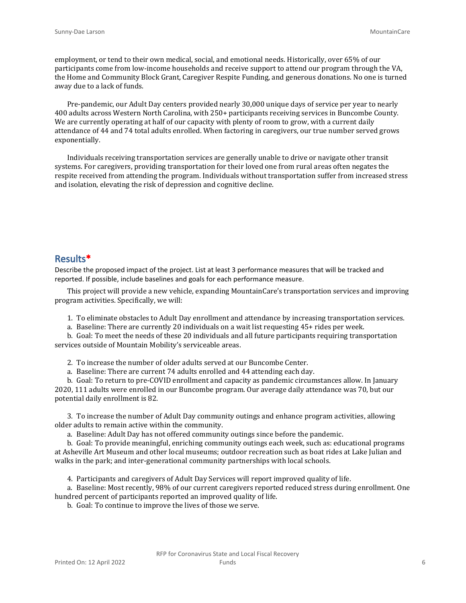employment, or tend to their own medical, social, and emotional needs. Historically, over 65% of our participants come from low-income households and receive support to attend our program through the VA, the Home and Community Block Grant, Caregiver Respite Funding, and generous donations. No one is turned away due to a lack of funds.

Pre-pandemic, our Adult Day centers provided nearly 30,000 unique days of service per year to nearly 400 adults across Western North Carolina, with 250+ participants receiving services in Buncombe County. We are currently operating at half of our capacity with plenty of room to grow, with a current daily attendance of 44 and 74 total adults enrolled. When factoring in caregivers, our true number served grows exponentially.

Individuals receiving transportation services are generally unable to drive or navigate other transit systems. For caregivers, providing transportation for their loved one from rural areas often negates the respite received from attending the program. Individuals without transportation suffer from increased stress and isolation, elevating the risk of depression and cognitive decline.

# **Results\***

Describe the proposed impact of the project. List at least 3 performance measures that will be tracked and reported. If possible, include baselines and goals for each performance measure.

This project will provide a new vehicle, expanding MountainCare's transportation services and improving program activities. Specifically, we will:

1. To eliminate obstacles to Adult Day enrollment and attendance by increasing transportation services.

a. Baseline: There are currently 20 individuals on a wait list requesting 45+ rides per week.

b. Goal: To meet the needs of these 20 individuals and all future participants requiring transportation services outside of Mountain Mobility's serviceable areas.

2. To increase the number of older adults served at our Buncombe Center.

a. Baseline: There are current 74 adults enrolled and 44 attending each day.

b. Goal: To return to pre-COVID enrollment and capacity as pandemic circumstances allow. In January 2020, 111 adults were enrolled in our Buncombe program. Our average daily attendance was 70, but our potential daily enrollment is 82.

3. To increase the number of Adult Day community outings and enhance program activities, allowing older adults to remain active within the community.

a. Baseline: Adult Day has not offered community outings since before the pandemic.

b. Goal: To provide meaningful, enriching community outings each week, such as: educational programs at Asheville Art Museum and other local museums; outdoor recreation such as boat rides at Lake Julian and walks in the park; and inter-generational community partnerships with local schools.

4. Participants and caregivers of Adult Day Services will report improved quality of life.

a. Baseline: Most recently, 98% of our current caregivers reported reduced stress during enrollment. One hundred percent of participants reported an improved quality of life.

b. Goal: To continue to improve the lives of those we serve.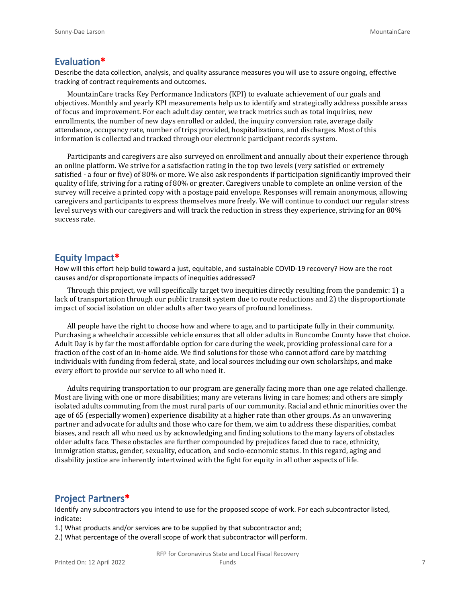# **Evaluation\***

Describe the data collection, analysis, and quality assurance measures you will use to assure ongoing, effective tracking of contract requirements and outcomes.

MountainCare tracks Key Performance Indicators (KPI) to evaluate achievement of our goals and objectives. Monthly and yearly KPI measurements help us to identify and strategically address possible areas of focus and improvement. For each adult day center, we track metrics such as total inquiries, new enrollments, the number of new days enrolled or added, the inquiry conversion rate, average daily attendance, occupancy rate, number of trips provided, hospitalizations, and discharges. Most of this information is collected and tracked through our electronic participant records system.

Participants and caregivers are also surveyed on enrollment and annually about their experience through an online platform. We strive for a satisfaction rating in the top two levels (very satisfied or extremely satisfied - a four or five) of 80% or more. We also ask respondents if participation significantly improved their quality of life, striving for a rating of 80% or greater. Caregivers unable to complete an online version of the survey will receive a printed copy with a postage paid envelope. Responses will remain anonymous, allowing caregivers and participants to express themselves more freely. We will continue to conduct our regular stress level surveys with our caregivers and will track the reduction in stress they experience, striving for an 80% success rate.

### **Equity Impact\***

How will this effort help build toward a just, equitable, and sustainable COVID-19 recovery? How are the root causes and/or disproportionate impacts of inequities addressed?

Through this project, we will specifically target two inequities directly resulting from the pandemic: 1) a lack of transportation through our public transit system due to route reductions and 2) the disproportionate impact of social isolation on older adults after two years of profound loneliness.

All people have the right to choose how and where to age, and to participate fully in their community. Purchasing a wheelchair accessible vehicle ensures that all older adults in Buncombe County have that choice. Adult Day is by far the most affordable option for care during the week, providing professional care for a fraction of the cost of an in-home aide. We find solutions for those who cannot afford care by matching individuals with funding from federal, state, and local sources including our own scholarships, and make every effort to provide our service to all who need it.

Adults requiring transportation to our program are generally facing more than one age related challenge. Most are living with one or more disabilities; many are veterans living in care homes; and others are simply isolated adults commuting from the most rural parts of our community. Racial and ethnic minorities over the age of 65 (especially women) experience disability at a higher rate than other groups. As an unwavering partner and advocate for adults and those who care for them, we aim to address these disparities, combat biases, and reach all who need us by acknowledging and finding solutions to the many layers of obstacles older adults face. These obstacles are further compounded by prejudices faced due to race, ethnicity, immigration status, gender, sexuality, education, and socio-economic status. In this regard, aging and disability justice are inherently intertwined with the fight for equity in all other aspects of life.

# **Project Partners\***

Identify any subcontractors you intend to use for the proposed scope of work. For each subcontractor listed, indicate:

1.) What products and/or services are to be supplied by that subcontractor and;

2.) What percentage of the overall scope of work that subcontractor will perform.

RFP for Coronavirus State and Local Fiscal Recovery Funds 7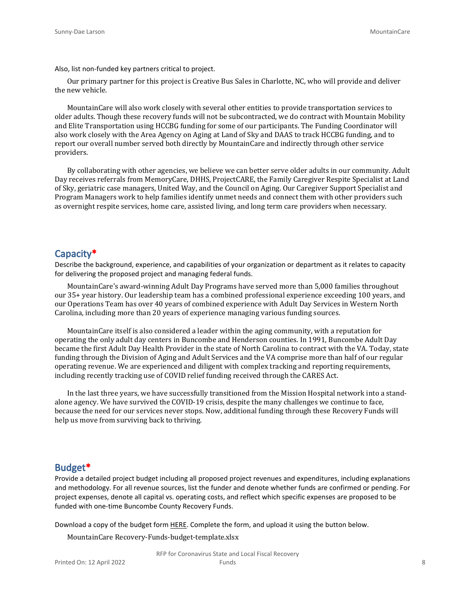Also, list non-funded key partners critical to project.

Our primary partner for this project is Creative Bus Sales in Charlotte, NC, who will provide and deliver the new vehicle.

MountainCare will also work closely with several other entities to provide transportation services to older adults. Though these recovery funds will not be subcontracted, we do contract with Mountain Mobility and Elite Transportation using HCCBG funding for some of our participants. The Funding Coordinator will also work closely with the Area Agency on Aging at Land of Sky and DAAS to track HCCBG funding, and to report our overall number served both directly by MountainCare and indirectly through other service providers.

By collaborating with other agencies, we believe we can better serve older adults in our community. Adult Day receives referrals from MemoryCare, DHHS, ProjectCARE, the Family Caregiver Respite Specialist at Land of Sky, geriatric case managers, United Way, and the Council on Aging. Our Caregiver Support Specialist and Program Managers work to help families identify unmet needs and connect them with other providers such as overnight respite services, home care, assisted living, and long term care providers when necessary.

# **Capacity\***

Describe the background, experience, and capabilities of your organization or department as it relates to capacity for delivering the proposed project and managing federal funds.

MountainCare's award-winning Adult Day Programs have served more than 5,000 families throughout our 35+ year history. Our leadership team has a combined professional experience exceeding 100 years, and our Operations Team has over 40 years of combined experience with Adult Day Services in Western North Carolina, including more than 20 years of experience managing various funding sources.

MountainCare itself is also considered a leader within the aging community, with a reputation for operating the only adult day centers in Buncombe and Henderson counties. In 1991, Buncombe Adult Day became the first Adult Day Health Provider in the state of North Carolina to contract with the VA. Today, state funding through the Division of Aging and Adult Services and the VA comprise more than half of our regular operating revenue. We are experienced and diligent with complex tracking and reporting requirements, including recently tracking use of COVID relief funding received through the CARES Act.

In the last three years, we have successfully transitioned from the Mission Hospital network into a standalone agency. We have survived the COVID-19 crisis, despite the many challenges we continue to face, because the need for our services never stops. Now, additional funding through these Recovery Funds will help us move from surviving back to thriving.

### **Budget\***

Provide a detailed project budget including all proposed project revenues and expenditures, including explanations and methodology. For all revenue sources, list the funder and denote whether funds are confirmed or pending. For project expenses, denote all capital vs. operating costs, and reflect which specific expenses are proposed to be funded with one-time Buncombe County Recovery Funds.

Download a copy of the budget form [HERE](https://buncombecounty.org/common/community-investment/grants/early-childhood-education/Recovery-Funds-budget-template.xlsx). Complete the form, and upload it using the button below.

MountainCare Recovery-Funds-budget-template.xlsx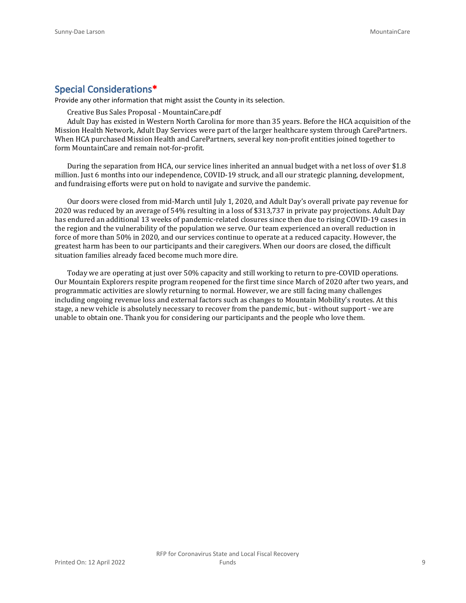# **Special Considerations\***

Provide any other information that might assist the County in its selection.

Creative Bus Sales Proposal - MountainCare.pdf

Adult Day has existed in Western North Carolina for more than 35 years. Before the HCA acquisition of the Mission Health Network, Adult Day Services were part of the larger healthcare system through CarePartners. When HCA purchased Mission Health and CarePartners, several key non-profit entities joined together to form MountainCare and remain not-for-profit.

During the separation from HCA, our service lines inherited an annual budget with a net loss of over \$1.8 million. Just 6 months into our independence, COVID-19 struck, and all our strategic planning, development, and fundraising efforts were put on hold to navigate and survive the pandemic.

Our doors were closed from mid-March until July 1, 2020, and Adult Day's overall private pay revenue for 2020 was reduced by an average of 54% resulting in a loss of \$313,737 in private pay projections. Adult Day has endured an additional 13 weeks of pandemic-related closures since then due to rising COVID-19 cases in the region and the vulnerability of the population we serve. Our team experienced an overall reduction in force of more than 50% in 2020, and our services continue to operate at a reduced capacity. However, the greatest harm has been to our participants and their caregivers. When our doors are closed, the difficult situation families already faced become much more dire.

Today we are operating at just over 50% capacity and still working to return to pre-COVID operations. Our Mountain Explorers respite program reopened for the first time since March of 2020 after two years, and programmatic activities are slowly returning to normal. However, we are still facing many challenges including ongoing revenue loss and external factors such as changes to Mountain Mobility's routes. At this stage, a new vehicle is absolutely necessary to recover from the pandemic, but - without support - we are unable to obtain one. Thank you for considering our participants and the people who love them.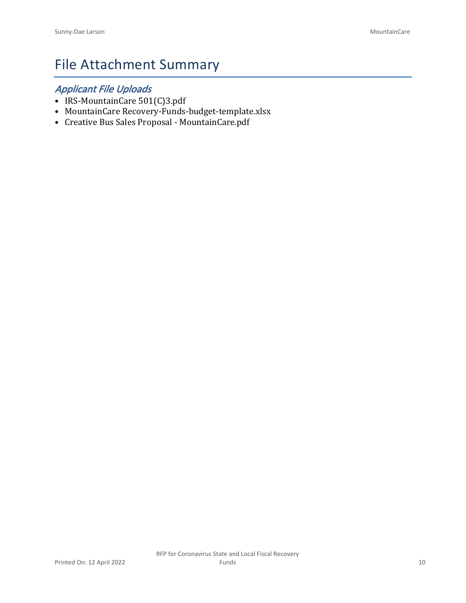# File Attachment Summary

# *Applicant File Uploads*

- IRS-MountainCare 501(C)3.pdf
- MountainCare Recovery-Funds-budget-template.xlsx
- Creative Bus Sales Proposal MountainCare.pdf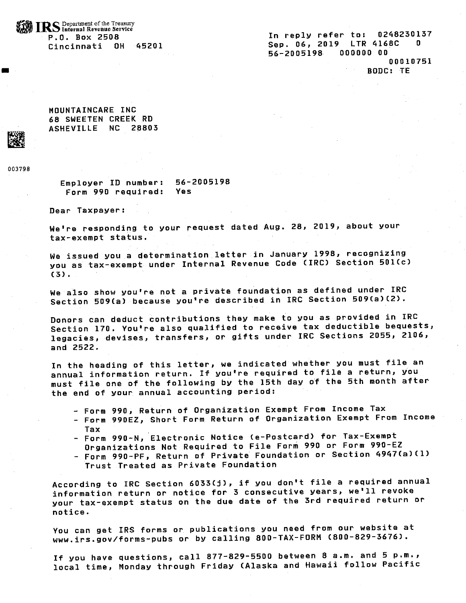**IRS** Department of the Treasury P.O. Box 2508 Cincinnati OH 45201

BODC: TE

MOUNTAINCARE INC 68 SWEETEN CREEK RD ASHEVILLE NC 28803

003798

56-2005198 Employer ID number: Yes Form 990 required:

Dear Taxpayer:

We're responding to your request dated Aug. 28, 2019, about your tax-exempt status.

We issued you a determination letter in January 1998, recognizing you as tax-exempt under Internal Revenue Code (IRC) Section 501(c)  $(3)$ .

We also show you're not a private foundation as defined under IRC Section 509(a) because you're described in IRC Section 509(a)(2).

Donors can deduct contributions they make to you as provided in IRC Section 170. You're also qualified to receive tax deductible bequests, legacies, devises, transfers, or gifts under IRC Sections 2055, 2106, and 2522.

In the heading of this letter, we indicated whether you must file an annual information return. If you're required to file a return, you must file one of the following by the 15th day of the 5th month after the end of your annual accounting period:

- Form 990, Return of Organization Exempt From Income Tax
- Form 990EZ, Short Form Return of Organization Exempt From Income Tax
- Form 990-N, Electronic Notice (e-Postcard) for Tax-Exempt Organizations Not Required to File Form 990 or Form 990-EZ
- Form 990-PF, Return of Private Foundation or Section 4947(a)(1)
	- Trust Treated as Private Foundation

According to IRC Section 6033(j), if you don't file a required annual information return or notice for 3 consecutive years, we'll revoke your tax-exempt status on the due date of the 3rd required return or notice.

You can get IRS forms or publications you need from our website at www.irs.gov/forms-pubs or by calling 800-TAX-FORM (800-829-3676).

If you have questions, call 877-829-5500 between 8 a.m. and 5 p.m., local time, Monday through Friday (Alaska and Hawaii follow Pacific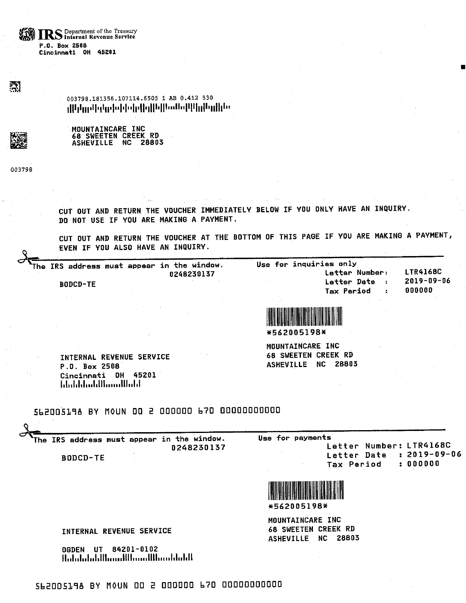

罰

#### 003798.181356.107114.6505 1 AB 0.412 530

MOUNTAINCARE INC<br>68 SWEETEN CREEK RD ASHEVILLE NC 28803

003798

CUT OUT AND RETURN THE VOUCHER IMMEDIATELY BELOW IF YOU ONLY HAVE AN INQUIRY. DO NOT USE IF YOU ARE MAKING A PAYMENT.

CUT OUT AND RETURN THE VOUCHER AT THE BOTTOM OF THIS PAGE IF YOU ARE MAKING A PAYMENT, EVEN IF YOU ALSO HAVE AN INQUIRY.

|                 | "The IRS address must appear in the window. | Use for inquiries only |                |                 |
|-----------------|---------------------------------------------|------------------------|----------------|-----------------|
|                 | 0248230137                                  |                        | Letter Number: | <b>LTR4168C</b> |
| <b>BODCD-TE</b> |                                             |                        | Letter Date    | 2019-09-06      |
|                 |                                             |                        | Tax Period     | 000000          |
|                 |                                             |                        |                |                 |

\*562005198\*

MOUNTAINCARE INC 68 SWEETEN CREEK RD 28803 ASHEVILLE NC

INTERNAL REVENUE SERVICE P.O. Box 2508 Cincinnati OH 45201 <u>latuliliudilliuudllulil</u>

562005198 BY MOUN 00 2 000000 670 00000000000

The IRS address must appear in the window. 0248230137 **BODCD-TE** 

Use for payments

Letter Number: LTR4168C  $: 2019 - 09 - 06$ Letter Date

Tax Period





\*562005198\*

MOUNTAINCARE INC **68 SWEETEN CREEK RD** 28803 ASHEVILLE NC

INTERNAL REVENUE SERVICE

0GDEN UT 84201-0102 <u>Halalalaldilinudillinudillinuddulul</u>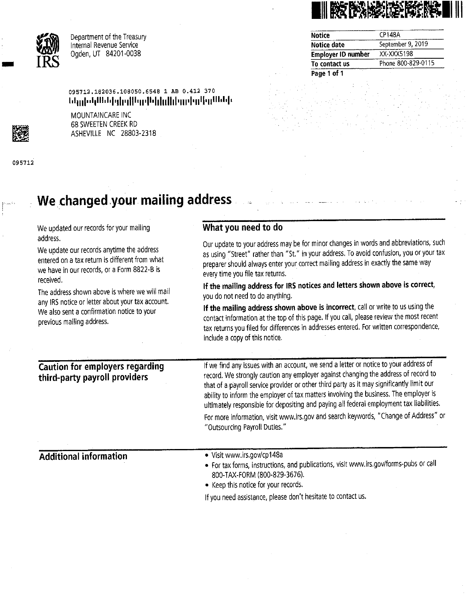| III ROSA LONDOREN III |  |
|-----------------------|--|
|-----------------------|--|



Department of the Treasury Internal Revenue Service Oaden, UT 84201-0038

095712.182036.108050.6548 1 AB 0.412 370 **Ակլիմ(Անեիցիզ)(հրվեկին(հիմարից)(գլ**Մենի



095712

MOUNTAINCARE INC 68 SWEETEN CREEK RD ASHEVILLE NC 28803-2318

| <b>Notice</b>             | CP148A             |
|---------------------------|--------------------|
| Notice date               | September 9, 2019  |
| <b>Employer ID number</b> | XX-XXX5198         |
| To contact us             | Phone 800-829-0115 |
| Dana 1 of 1               |                    |

We changed your mailing address

We updated our records for your mailing address.

We update our records anytime the address entered on a tax return is different from what we have in our records, or a Form 8822-B is received.

The address shown above is where we will mail any IRS notice or letter about your tax account. We also sent a confirmation notice to your previous mailing address.

# What you need to do

Our update to your address may be for minor changes in words and abbreviations, such as using "Street" rather than "St." in your address. To avoid confusion, you or your tax preparer should always enter your correct mailing address in exactly the same way every time you file tax returns.

If the mailing address for IRS notices and letters shown above is correct, you do not need to do anything.

If the mailing address shown above is incorrect, call or write to us using the contact information at the top of this page. If you call, please review the most recent tax returns you filed for differences in addresses entered. For written correspondence, include a copy of this notice.

If we find any issues with an account, we send a letter or notice to your address of **Caution for employers regarding** record. We strongly caution any employer against changing the address of record to third-party payroll providers that of a payroll service provider or other third party as it may significantly limit our ability to inform the employer of tax matters involving the business. The employer is ultimately responsible for depositing and paying all federal employment tax liabilities. For more information, visit www.irs.gov and search keywords, "Change of Address" or

# **Additional information**

• Visit www.irs.gov/cp148a

"Outsourcing Payroll Duties."

- For tax forms, instructions, and publications, visit www.irs.gov/forms-pubs or call 800-TAX-FORM (800-829-3676).
- Keep this notice for your records.

If you need assistance, please don't hesitate to contact us.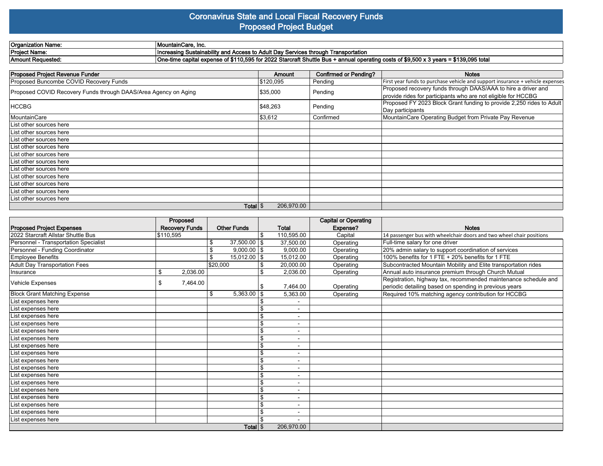### **Coronavirus State and Local Fiscal Recovery Funds Proposed Project Budget**

| Organization Name:       | I MountainCare.<br>Inc.                                                                                                              |
|--------------------------|--------------------------------------------------------------------------------------------------------------------------------------|
| <b>Project Name:</b>     | Increasing Sustainability and Access to Adult Day Services through Transportation                                                    |
| <b>Amount Requested.</b> | One-time capital expense of \$110,595 for 2022 Starcraft Shuttle Bus + annual operating costs of \$9,500 x 3 years = \$139,095 total |

| Proposed Project Revenue Funder                                 | <b>Amount</b> | <b>Confirmed or Pending?</b> | <b>Notes</b>                                                                  |
|-----------------------------------------------------------------|---------------|------------------------------|-------------------------------------------------------------------------------|
| Proposed Buncombe COVID Recovery Funds                          | \$120,095     | Pending                      | First year funds to purchase vehicle and support insurance + vehicle expenses |
| Proposed COVID Recovery Funds through DAAS/Area Agency on Aging | \$35,000      | Pending                      | Proposed recovery funds through DAAS/AAA to hire a driver and                 |
|                                                                 |               |                              | provide rides for participants who are not eligible for HCCBG                 |
| HCCBG                                                           | \$48,263      | Pending                      | Proposed FY 2023 Block Grant funding to provide 2,250 rides to Adult          |
|                                                                 |               |                              | Day participants                                                              |
| MountainCare                                                    | \$3,612       | Confirmed                    | MountainCare Operating Budget from Private Pay Revenue                        |
| List other sources here                                         |               |                              |                                                                               |
| List other sources here                                         |               |                              |                                                                               |
| List other sources here                                         |               |                              |                                                                               |
| List other sources here                                         |               |                              |                                                                               |
| List other sources here                                         |               |                              |                                                                               |
| List other sources here                                         |               |                              |                                                                               |
| List other sources here                                         |               |                              |                                                                               |
| List other sources here                                         |               |                              |                                                                               |
| List other sources here                                         |               |                              |                                                                               |
| List other sources here                                         |               |                              |                                                                               |
| List other sources here                                         |               |                              |                                                                               |
| Total $\frac{1}{2}$                                             | 206,970.00    |                              |                                                                               |

|                                       | Proposed              |          |         |                    |            |                          | <b>Capital or Operating</b> |                                                                      |
|---------------------------------------|-----------------------|----------|---------|--------------------|------------|--------------------------|-----------------------------|----------------------------------------------------------------------|
| <b>Proposed Project Expenses</b>      | <b>Recovery Funds</b> |          |         | <b>Other Funds</b> |            | <b>Total</b>             | Expense?                    | <b>Notes</b>                                                         |
| 2022 Starcraft Allstar Shuttle Bus    | \$110,595             |          |         |                    |            | 110,595.00               | Capital                     | 14 passenger bus with wheelchair doors and two wheel chair positions |
| Personnel - Transportation Specialist |                       |          | \$      | $37,500.00$ \\$    |            | 37,500.00                | Operating                   | Full-time salary for one driver                                      |
| Personnel - Funding Coordinator       |                       |          | \$      | $9,000.00$ \\$     |            | 9,000.00                 | Operating                   | 20% admin salary to support coordination of services                 |
| Employee Benefits                     |                       |          | \$      | $15,012.00$ \\$    |            | 15,012.00                | Operating                   | 100% benefits for 1 FTE + 20% benefits for 1 FTE                     |
| Adult Day Transportation Fees         |                       |          | 520,000 |                    |            | 20,000.00                | Operating                   | Subcontracted Mountain Mobility and Elite transportation rides       |
| Ilnsurance                            | \$.                   | 2,036.00 |         |                    |            | 2,036.00                 | Operating                   | Annual auto insurance premium through Church Mutual                  |
| Vehicle Expenses                      | \$                    | 7,464.00 |         |                    |            |                          |                             | Registration, highway tax, recommended maintenance schedule and      |
|                                       |                       |          |         |                    |            | 7,464.00                 | Operating                   | periodic detailing based on spending in previous years               |
| <b>Block Grant Matching Expense</b>   |                       |          | \$      | $5,363.00$ \\$     |            | 5,363.00                 | Operating                   | Required 10% matching agency contribution for HCCBG                  |
| List expenses here                    |                       |          |         |                    |            |                          |                             |                                                                      |
| List expenses here                    |                       |          |         |                    |            | $\overline{\phantom{a}}$ |                             |                                                                      |
| List expenses here                    |                       |          |         |                    |            |                          |                             |                                                                      |
| ist expenses here                     |                       |          |         |                    |            |                          |                             |                                                                      |
| ist expenses here                     |                       |          |         |                    |            |                          |                             |                                                                      |
| List expenses here                    |                       |          |         |                    | \$         |                          |                             |                                                                      |
| List expenses here                    |                       |          |         |                    |            | $\,$ $\,$                |                             |                                                                      |
| List expenses here                    |                       |          |         |                    |            |                          |                             |                                                                      |
| List expenses here                    |                       |          |         |                    |            | $\overline{\phantom{a}}$ |                             |                                                                      |
| List expenses here                    |                       |          |         |                    | \$         |                          |                             |                                                                      |
| List expenses here                    |                       |          |         |                    |            | $\,$ $\,$                |                             |                                                                      |
| List expenses here                    |                       |          |         |                    |            | $\,$ $\,$                |                             |                                                                      |
| List expenses here                    |                       |          |         |                    | \$         |                          |                             |                                                                      |
| ist expenses here                     |                       |          |         |                    |            |                          |                             |                                                                      |
| ist expenses here                     |                       |          |         |                    |            | $\overline{\phantom{a}}$ |                             |                                                                      |
| List expenses here                    |                       |          |         |                    |            |                          |                             |                                                                      |
| List expenses here                    |                       |          |         |                    |            |                          |                             |                                                                      |
| Total $\frac{1}{3}$                   |                       |          |         |                    | 206,970.00 |                          |                             |                                                                      |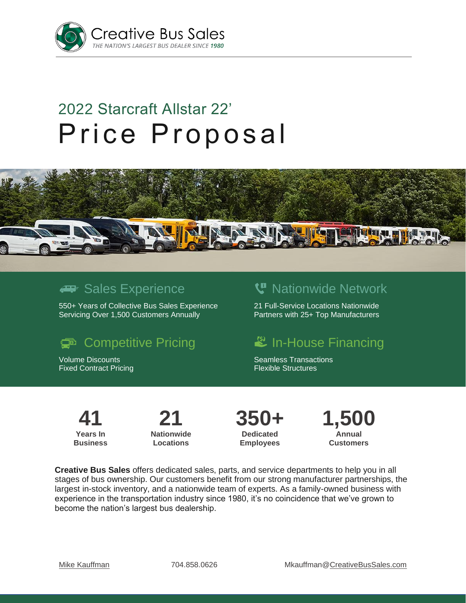

# 2022 Starcraft Allstar 22' Price Proposal



550+ Years of Collective Bus Sales Experience Servicing Over 1,500 Customers Annually

# **雷Competitive Pricing Competitive Pricing と In-House Financing**

Volume Discounts Fixed Contract Pricing

# Sales Experience **V'** Nationwide Network

21 Full-Service Locations Nationwide Partners with 25+ Top Manufacturers

Seamless Transactions Flexible Structures

**Years In Business**



**Dedicated Employees** **41 21 350+ 1,500 Annual Customers**

**Creative Bus Sales** offers dedicated sales, parts, and service departments to help you in all stages of bus ownership. Our customers benefit from our strong manufacturer partnerships, the largest in-stock inventory, and a nationwide team of experts. As a family-owned business with experience in the transportation industry since 1980, it's no coincidence that we've grown to become the nation's largest bus dealership.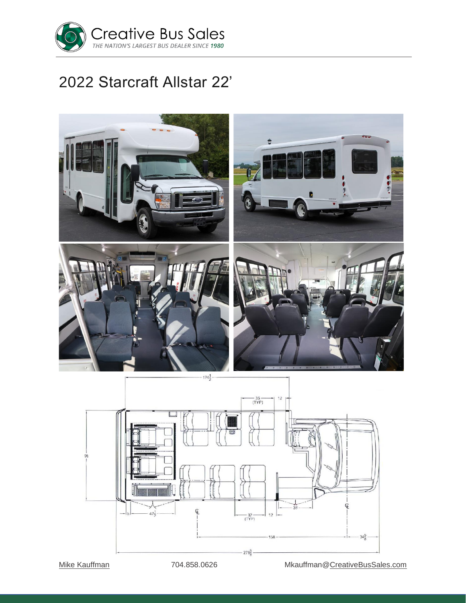

# 2022 Starcraft Allstar 22'



 $-278\frac{5}{8}$ 

Mike Kauffman **704.858.0626** Mkauffman[@CreativeBusSales.com](https://www.creativebussales.com/)

 $34^{5}_{8}$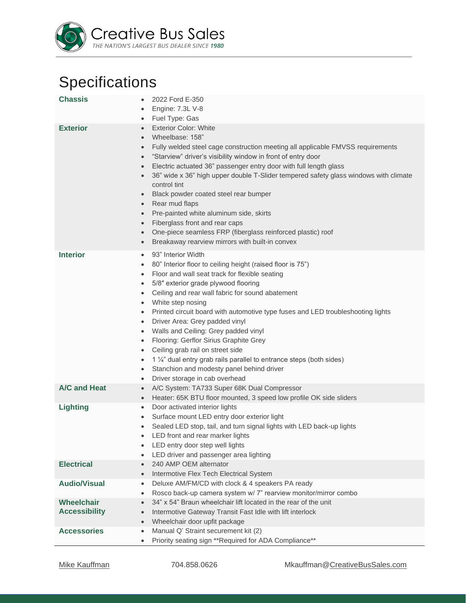

# **Specifications**

| <b>Chassis</b>                     | 2022 Ford E-350<br>Engine: 7.3L V-8<br>Fuel Type: Gas<br>$\bullet$                                                                                                                                                                                                                                                                                                                                                                                                                                                                                                                                                                                                                                                                                                                                                                          |
|------------------------------------|---------------------------------------------------------------------------------------------------------------------------------------------------------------------------------------------------------------------------------------------------------------------------------------------------------------------------------------------------------------------------------------------------------------------------------------------------------------------------------------------------------------------------------------------------------------------------------------------------------------------------------------------------------------------------------------------------------------------------------------------------------------------------------------------------------------------------------------------|
| <b>Exterior</b>                    | <b>Exterior Color: White</b><br>$\bullet$<br>Wheelbase: 158"<br>$\bullet$<br>Fully welded steel cage construction meeting all applicable FMVSS requirements<br>$\bullet$<br>"Starview" driver's visibility window in front of entry door<br>$\bullet$<br>Electric actuated 36" passenger entry door with full length glass<br>$\bullet$<br>36" wide x 36" high upper double T-Slider tempered safety glass windows with climate<br>$\bullet$<br>control tint<br>Black powder coated steel rear bumper<br>$\bullet$<br>Rear mud flaps<br>$\bullet$<br>Pre-painted white aluminum side, skirts<br>$\bullet$<br>Fiberglass front and rear caps<br>$\bullet$<br>One-piece seamless FRP (fiberglass reinforced plastic) roof<br>$\bullet$<br>Breakaway rearview mirrors with built-in convex<br>$\bullet$                                        |
| <b>Interior</b>                    | 93" Interior Width<br>$\bullet$<br>80" Interior floor to ceiling height (raised floor is 75")<br>$\bullet$<br>Floor and wall seat track for flexible seating<br>$\bullet$<br>5/8" exterior grade plywood flooring<br>$\bullet$<br>Ceiling and rear wall fabric for sound abatement<br>$\bullet$<br>White step nosing<br>$\bullet$<br>Printed circuit board with automotive type fuses and LED troubleshooting lights<br>$\bullet$<br>Driver Area: Grey padded vinyl<br>$\bullet$<br>Walls and Ceiling: Grey padded vinyl<br>$\bullet$<br>Flooring: Gerflor Sirius Graphite Grey<br>$\bullet$<br>Ceiling grab rail on street side<br>$\bullet$<br>1 1/4" dual entry grab rails parallel to entrance steps (both sides)<br>$\bullet$<br>Stanchion and modesty panel behind driver<br>$\bullet$<br>Driver storage in cab overhead<br>$\bullet$ |
| A/C and Heat                       | A/C System: TA733 Super 68K Dual Compressor<br>$\bullet$<br>Heater: 65K BTU floor mounted, 3 speed low profile OK side sliders<br>$\bullet$                                                                                                                                                                                                                                                                                                                                                                                                                                                                                                                                                                                                                                                                                                 |
| <b>Lighting</b>                    | Door activated interior lights<br>$\bullet$<br>Surface mount LED entry door exterior light<br>$\bullet$<br>Sealed LED stop, tail, and turn signal lights with LED back-up lights<br>LED front and rear marker lights<br>LED entry door step well lights<br>$\bullet$<br>LED driver and passenger area lighting                                                                                                                                                                                                                                                                                                                                                                                                                                                                                                                              |
| <b>Electrical</b>                  | 240 AMP OEM alternator<br>Intermotive Flex Tech Electrical System<br>$\bullet$                                                                                                                                                                                                                                                                                                                                                                                                                                                                                                                                                                                                                                                                                                                                                              |
| <b>Audio/Visual</b>                | Deluxe AM/FM/CD with clock & 4 speakers PA ready<br>$\bullet$<br>Rosco back-up camera system w/ 7" rearview monitor/mirror combo<br>$\bullet$                                                                                                                                                                                                                                                                                                                                                                                                                                                                                                                                                                                                                                                                                               |
| Wheelchair<br><b>Accessibility</b> | 34" x 54" Braun wheelchair lift located in the rear of the unit<br>$\bullet$<br>Intermotive Gateway Transit Fast Idle with lift interlock<br>$\bullet$<br>Wheelchair door upfit package<br>$\bullet$                                                                                                                                                                                                                                                                                                                                                                                                                                                                                                                                                                                                                                        |
| <b>Accessories</b>                 | Manual Q' Straint securement kit (2)<br>$\bullet$<br>Priority seating sign ** Required for ADA Compliance**<br>$\bullet$                                                                                                                                                                                                                                                                                                                                                                                                                                                                                                                                                                                                                                                                                                                    |

Mike Kauffman 704.858.0626 Mkauffman[@CreativeBusSales.com](https://www.creativebussales.com/)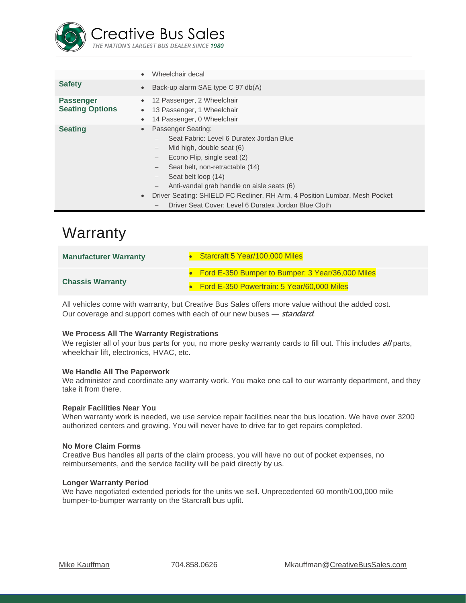

|                                            | Wheelchair decal<br>$\bullet$                                                                                                                                                                                                                                                                                                                                                                                                                                                                                                                  |
|--------------------------------------------|------------------------------------------------------------------------------------------------------------------------------------------------------------------------------------------------------------------------------------------------------------------------------------------------------------------------------------------------------------------------------------------------------------------------------------------------------------------------------------------------------------------------------------------------|
| <b>Safety</b>                              | Back-up alarm SAE type C 97 db(A)<br>$\bullet$                                                                                                                                                                                                                                                                                                                                                                                                                                                                                                 |
| <b>Passenger</b><br><b>Seating Options</b> | 12 Passenger, 2 Wheelchair<br>$\bullet$<br>13 Passenger, 1 Wheelchair<br>$\bullet$<br>14 Passenger, 0 Wheelchair<br>$\bullet$                                                                                                                                                                                                                                                                                                                                                                                                                  |
| <b>Seating</b>                             | Passenger Seating:<br>$\bullet$<br>Seat Fabric: Level 6 Duratex Jordan Blue<br>Mid high, double seat (6)<br>$\qquad \qquad -$<br>Econo Flip, single seat (2)<br>$\qquad \qquad -$<br>Seat belt, non-retractable (14)<br>$\hspace{0.1mm}-\hspace{0.1mm}$<br>Seat belt loop (14)<br>$\qquad \qquad -$<br>Anti-vandal grab handle on aisle seats (6)<br>$\qquad \qquad -$<br>Driver Seating: SHIELD FC Recliner, RH Arm, 4 Position Lumbar, Mesh Pocket<br>$\bullet$<br>Driver Seat Cover: Level 6 Duratex Jordan Blue Cloth<br>$\qquad \qquad -$ |

# **Warranty**

| <b>Manufacturer Warranty</b> | • Starcraft 5 Year/100,000 Miles                   |
|------------------------------|----------------------------------------------------|
|                              | • Ford E-350 Bumper to Bumper: 3 Year/36,000 Miles |
| <b>Chassis Warranty</b>      | • Ford E-350 Powertrain: 5 Year/60,000 Miles       |

All vehicles come with warranty, but Creative Bus Sales offers more value without the added cost. Our coverage and support comes with each of our new buses — **standard**.

#### **We Process All The Warranty Registrations**

We register all of your bus parts for you, no more pesky warranty cards to fill out. This includes *all* parts, wheelchair lift, electronics, HVAC, etc.

#### **We Handle All The Paperwork**

We administer and coordinate any warranty work. You make one call to our warranty department, and they take it from there.

#### **Repair Facilities Near You**

When warranty work is needed, we use service repair facilities near the bus location. We have over 3200 authorized centers and growing. You will never have to drive far to get repairs completed.

#### **No More Claim Forms**

Creative Bus handles all parts of the claim process, you will have no out of pocket expenses, no reimbursements, and the service facility will be paid directly by us.

#### **Longer Warranty Period**

We have negotiated extended periods for the units we sell. Unprecedented 60 month/100,000 mile bumper-to-bumper warranty on the Starcraft bus upfit.